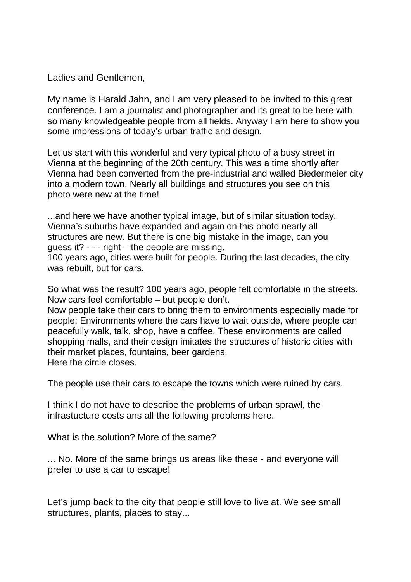Ladies and Gentlemen,

My name is Harald Jahn, and I am very pleased to be invited to this great conference. I am a journalist and photographer and its great to be here with so many knowledgeable people from all fields. Anyway I am here to show you some impressions of today's urban traffic and design.

Let us start with this wonderful and very typical photo of a busy street in Vienna at the beginning of the 20th century. This was a time shortly after Vienna had been converted from the pre-industrial and walled Biedermeier city into a modern town. Nearly all buildings and structures you see on this photo were new at the time!

...and here we have another typical image, but of similar situation today. Vienna's suburbs have expanded and again on this photo nearly all structures are new. But there is one big mistake in the image, can you guess it? - - - right – the people are missing.

100 years ago, cities were built for people. During the last decades, the city was rebuilt, but for cars.

So what was the result? 100 years ago, people felt comfortable in the streets. Now cars feel comfortable – but people don't.

Now people take their cars to bring them to environments especially made for people: Environments where the cars have to wait outside, where people can peacefully walk, talk, shop, have a coffee. These environments are called shopping malls, and their design imitates the structures of historic cities with their market places, fountains, beer gardens. Here the circle closes.

The people use their cars to escape the towns which were ruined by cars.

I think I do not have to describe the problems of urban sprawl, the infrastucture costs ans all the following problems here.

What is the solution? More of the same?

... No. More of the same brings us areas like these - and everyone will prefer to use a car to escape!

Let's jump back to the city that people still love to live at. We see small structures, plants, places to stay...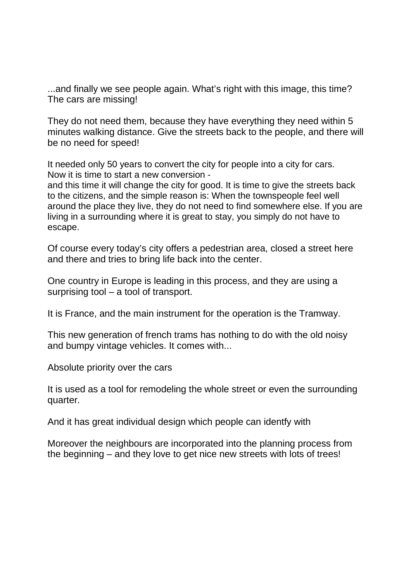...and finally we see people again. What's right with this image, this time? The cars are missing!

They do not need them, because they have everything they need within 5 minutes walking distance. Give the streets back to the people, and there will be no need for speed!

It needed only 50 years to convert the city for people into a city for cars. Now it is time to start a new conversion -

and this time it will change the city for good. It is time to give the streets back to the citizens, and the simple reason is: When the townspeople feel well around the place they live, they do not need to find somewhere else. If you are living in a surrounding where it is great to stay, you simply do not have to escape.

Of course every today's city offers a pedestrian area, closed a street here and there and tries to bring life back into the center.

One country in Europe is leading in this process, and they are using a surprising tool – a tool of transport.

It is France, and the main instrument for the operation is the Tramway.

This new generation of french trams has nothing to do with the old noisy and bumpy vintage vehicles. It comes with...

Absolute priority over the cars

It is used as a tool for remodeling the whole street or even the surrounding quarter.

And it has great individual design which people can identfy with

Moreover the neighbours are incorporated into the planning process from the beginning – and they love to get nice new streets with lots of trees!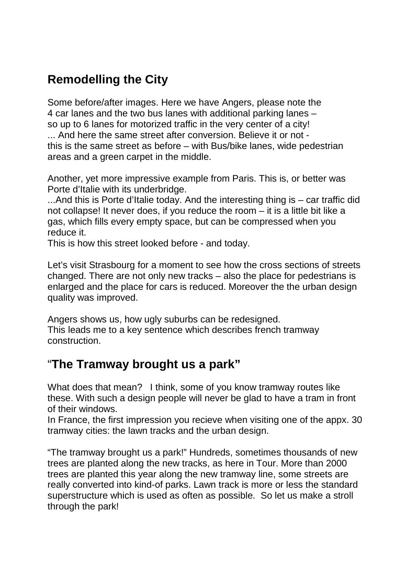# **Remodelling the City**

Some before/after images. Here we have Angers, please note the 4 car lanes and the two bus lanes with additional parking lanes – so up to 6 lanes for motorized traffic in the very center of a city! ... And here the same street after conversion. Believe it or not this is the same street as before – with Bus/bike lanes, wide pedestrian areas and a green carpet in the middle.

Another, yet more impressive example from Paris. This is, or better was Porte d'Italie with its underbridge.

...And this is Porte d'Italie today. And the interesting thing is – car traffic did not collapse! It never does, if you reduce the room – it is a little bit like a gas, which fills every empty space, but can be compressed when you reduce it.

This is how this street looked before - and today.

Let's visit Strasbourg for a moment to see how the cross sections of streets changed. There are not only new tracks – also the place for pedestrians is enlarged and the place for cars is reduced. Moreover the the urban design quality was improved.

Angers shows us, how ugly suburbs can be redesigned. This leads me to a key sentence which describes french tramway construction.

## "**The Tramway brought us a park"**

What does that mean? I think, some of you know tramway routes like these. With such a design people will never be glad to have a tram in front of their windows.

In France, the first impression you recieve when visiting one of the appx. 30 tramway cities: the lawn tracks and the urban design.

"The tramway brought us a park!" Hundreds, sometimes thousands of new trees are planted along the new tracks, as here in Tour. More than 2000 trees are planted this year along the new tramway line, some streets are really converted into kind-of parks. Lawn track is more or less the standard superstructure which is used as often as possible. So let us make a stroll through the park!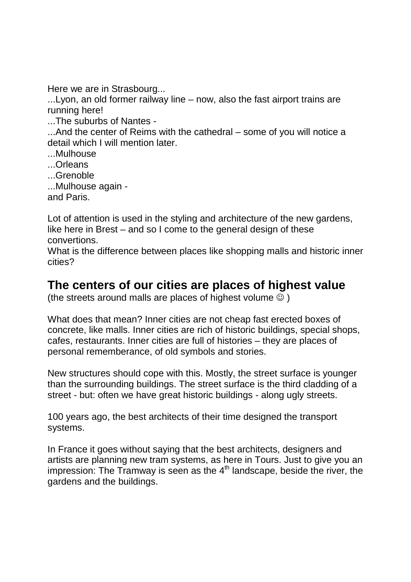Here we are in Strasbourg...

...Lyon, an old former railway line – now, also the fast airport trains are running here!

...The suburbs of Nantes -

...And the center of Reims with the cathedral – some of you will notice a detail which I will mention later.

- ...Mulhouse
- ...Orleans
- ...Grenoble
- ...Mulhouse again -

and Paris.

Lot of attention is used in the styling and architecture of the new gardens, like here in Brest – and so I come to the general design of these convertions.

What is the difference between places like shopping malls and historic inner cities?

#### **The centers of our cities are places of highest value**

(the streets around malls are places of highest volume  $\odot$ )

What does that mean? Inner cities are not cheap fast erected boxes of concrete, like malls. Inner cities are rich of historic buildings, special shops, cafes, restaurants. Inner cities are full of histories – they are places of personal rememberance, of old symbols and stories.

New structures should cope with this. Mostly, the street surface is younger than the surrounding buildings. The street surface is the third cladding of a street - but: often we have great historic buildings - along ugly streets.

100 years ago, the best architects of their time designed the transport systems.

In France it goes without saying that the best architects, designers and artists are planning new tram systems, as here in Tours. Just to give you an impression: The Tramway is seen as the  $4<sup>th</sup>$  landscape, beside the river, the gardens and the buildings.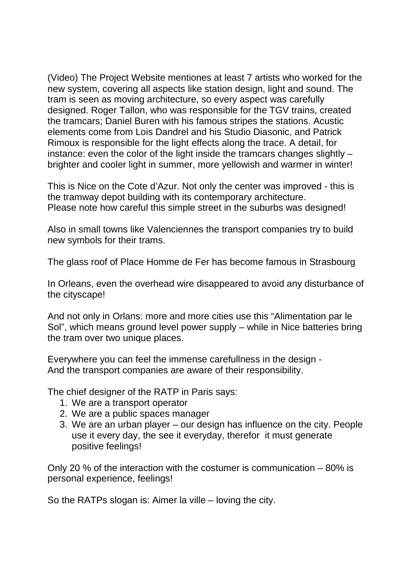(Video) The Project Website mentiones at least 7 artists who worked for the new system, covering all aspects like station design, light and sound. The tram is seen as moving architecture, so every aspect was carefully designed. Roger Tallon, who was responsible for the TGV trains, created the tramcars; Daniel Buren with his famous stripes the stations. Acustic elements come from Lois Dandrel and his Studio Diasonic, and Patrick Rimoux is responsible for the light effects along the trace. A detail, for instance: even the color of the light inside the tramcars changes slightly – brighter and cooler light in summer, more yellowish and warmer in winter!

This is Nice on the Cote d'Azur. Not only the center was improved - this is the tramway depot building with its contemporary architecture. Please note how careful this simple street in the suburbs was designed!

Also in small towns like Valenciennes the transport companies try to build new symbols for their trams.

The glass roof of Place Homme de Fer has become famous in Strasbourg

In Orleans, even the overhead wire disappeared to avoid any disturbance of the cityscape!

And not only in Orlans: more and more cities use this "Alimentation par le Sol", which means ground level power supply – while in Nice batteries bring the tram over two unique places.

Everywhere you can feel the immense carefullness in the design - And the transport companies are aware of their responsibility.

The chief designer of the RATP in Paris says:

- 1. We are a transport operator
- 2. We are a public spaces manager
- 3. We are an urban player our design has influence on the city. People use it every day, the see it everyday, therefor it must generate positive feelings!

Only 20 % of the interaction with the costumer is communication – 80% is personal experience, feelings!

So the RATPs slogan is: Aimer la ville – loving the city.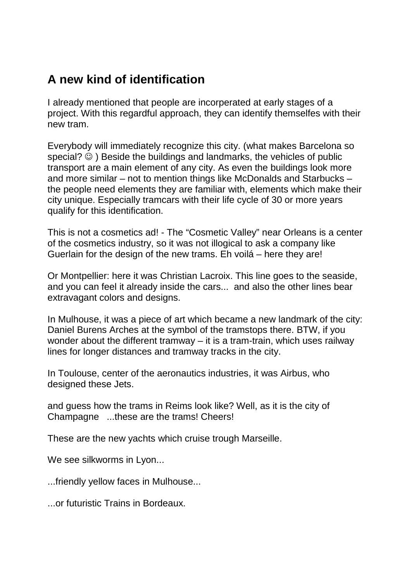## **A new kind of identification**

I already mentioned that people are incorperated at early stages of a project. With this regardful approach, they can identify themselfes with their new tram.

Everybody will immediately recognize this city. (what makes Barcelona so special?  $\odot$  ) Beside the buildings and landmarks, the vehicles of public transport are a main element of any city. As even the buildings look more and more similar – not to mention things like McDonalds and Starbucks – the people need elements they are familiar with, elements which make their city unique. Especially tramcars with their life cycle of 30 or more years qualify for this identification.

This is not a cosmetics ad! - The "Cosmetic Valley" near Orleans is a center of the cosmetics industry, so it was not illogical to ask a company like Guerlain for the design of the new trams. Eh voilá – here they are!

Or Montpellier: here it was Christian Lacroix. This line goes to the seaside, and you can feel it already inside the cars... and also the other lines bear extravagant colors and designs.

In Mulhouse, it was a piece of art which became a new landmark of the city: Daniel Burens Arches at the symbol of the tramstops there. BTW, if you wonder about the different tramway – it is a tram-train, which uses railway lines for longer distances and tramway tracks in the city.

In Toulouse, center of the aeronautics industries, it was Airbus, who designed these Jets.

and guess how the trams in Reims look like? Well, as it is the city of Champagne ...these are the trams! Cheers!

These are the new yachts which cruise trough Marseille.

We see silkworms in Lyon...

...friendly yellow faces in Mulhouse...

...or futuristic Trains in Bordeaux.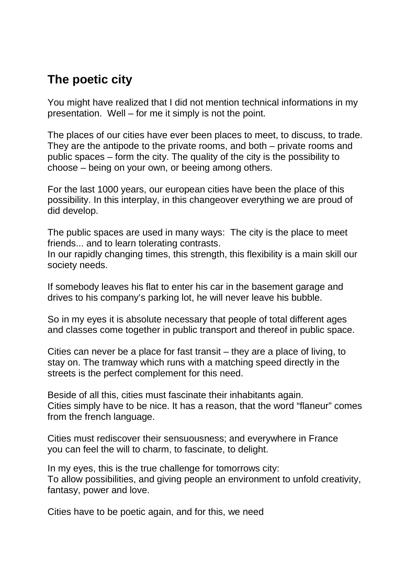### **The poetic city**

You might have realized that I did not mention technical informations in my presentation. Well – for me it simply is not the point.

The places of our cities have ever been places to meet, to discuss, to trade. They are the antipode to the private rooms, and both – private rooms and public spaces – form the city. The quality of the city is the possibility to choose – being on your own, or beeing among others.

For the last 1000 years, our european cities have been the place of this possibility. In this interplay, in this changeover everything we are proud of did develop.

The public spaces are used in many ways: The city is the place to meet friends... and to learn tolerating contrasts.

In our rapidly changing times, this strength, this flexibility is a main skill our society needs.

If somebody leaves his flat to enter his car in the basement garage and drives to his company's parking lot, he will never leave his bubble.

So in my eyes it is absolute necessary that people of total different ages and classes come together in public transport and thereof in public space.

Cities can never be a place for fast transit – they are a place of living, to stay on. The tramway which runs with a matching speed directly in the streets is the perfect complement for this need.

Beside of all this, cities must fascinate their inhabitants again. Cities simply have to be nice. It has a reason, that the word "flaneur" comes from the french language.

Cities must rediscover their sensuousness; and everywhere in France you can feel the will to charm, to fascinate, to delight.

In my eyes, this is the true challenge for tomorrows city: To allow possibilities, and giving people an environment to unfold creativity, fantasy, power and love.

Cities have to be poetic again, and for this, we need